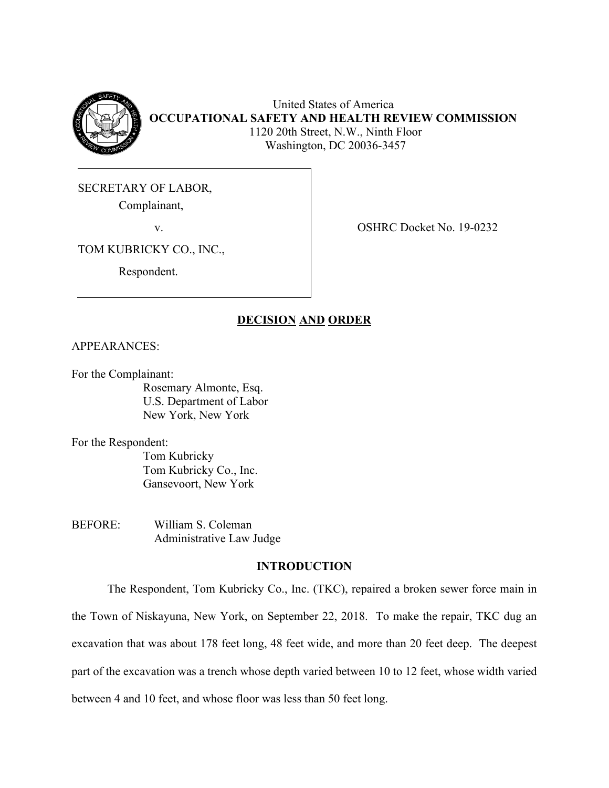

United States of America **OCCUPATIONAL SAFETY AND HEALTH REVIEW COMMISSION** 1120 20th Street, N.W., Ninth Floor Washington, DC 20036-3457

SECRETARY OF LABOR,

Complainant,

v. SHRC Docket No. 19-0232

TOM KUBRICKY CO., INC.,

Respondent.

# **DECISION AND ORDER**

## APPEARANCES:

For the Complainant:

Rosemary Almonte, Esq. U.S. Department of Labor New York, New York

For the Respondent:

Tom Kubricky Tom Kubricky Co., Inc. Gansevoort, New York

BEFORE: William S. Coleman Administrative Law Judge

# **INTRODUCTION**

The Respondent, Tom Kubricky Co., Inc. (TKC), repaired a broken sewer force main in the Town of Niskayuna, New York, on September 22, 2018. To make the repair, TKC dug an excavation that was about 178 feet long, 48 feet wide, and more than 20 feet deep. The deepest part of the excavation was a trench whose depth varied between 10 to 12 feet, whose width varied between 4 and 10 feet, and whose floor was less than 50 feet long.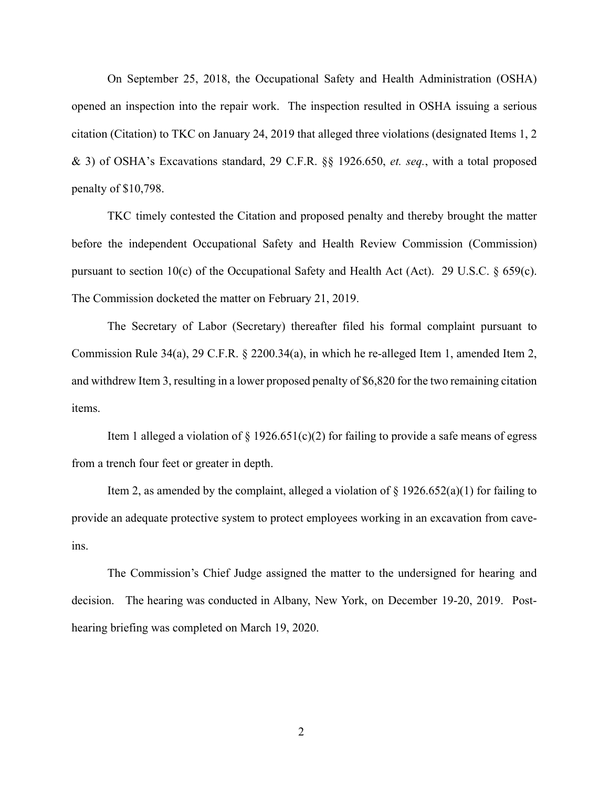On September 25, 2018, the Occupational Safety and Health Administration (OSHA) opened an inspection into the repair work. The inspection resulted in OSHA issuing a serious citation (Citation) to TKC on January 24, 2019 that alleged three violations (designated Items 1, 2 & 3) of OSHA's Excavations standard, 29 C.F.R. §§ 1926.650, *et. seq.*, with a total proposed penalty of \$10,798.

TKC timely contested the Citation and proposed penalty and thereby brought the matter before the independent Occupational Safety and Health Review Commission (Commission) pursuant to section 10(c) of the Occupational Safety and Health Act (Act). 29 U.S.C. § 659(c). The Commission docketed the matter on February 21, 2019.

The Secretary of Labor (Secretary) thereafter filed his formal complaint pursuant to Commission Rule 34(a), 29 C.F.R. § 2200.34(a), in which he re-alleged Item 1, amended Item 2, and withdrew Item 3, resulting in a lower proposed penalty of \$6,820 for the two remaining citation items.

Item 1 alleged a violation of  $\S 1926.651(c)(2)$  for failing to provide a safe means of egress from a trench four feet or greater in depth.

Item 2, as amended by the complaint, alleged a violation of  $\S 1926.652(a)(1)$  for failing to provide an adequate protective system to protect employees working in an excavation from caveins.

The Commission's Chief Judge assigned the matter to the undersigned for hearing and decision. The hearing was conducted in Albany, New York, on December 19-20, 2019. Posthearing briefing was completed on March 19, 2020.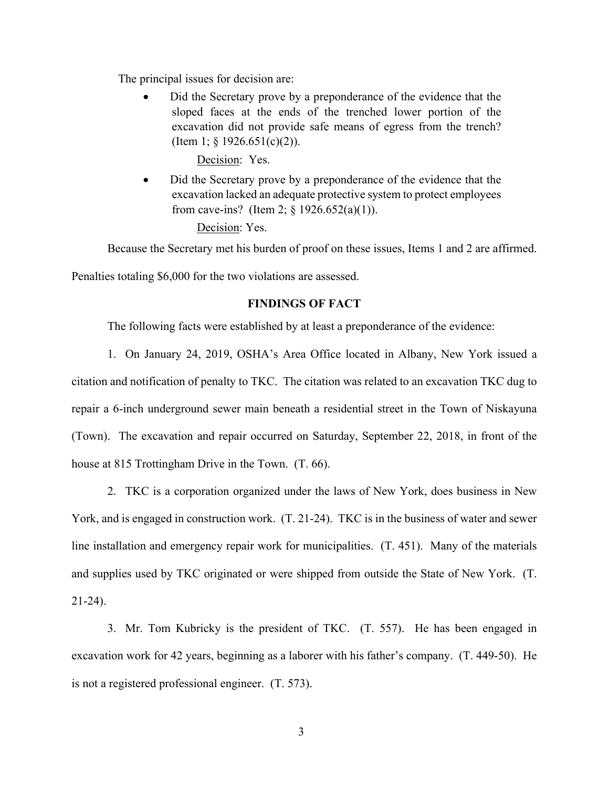The principal issues for decision are:

• Did the Secretary prove by a preponderance of the evidence that the sloped faces at the ends of the trenched lower portion of the excavation did not provide safe means of egress from the trench? (Item 1;  $\S$  1926.651(c)(2)).

Decision: Yes.

• Did the Secretary prove by a preponderance of the evidence that the excavation lacked an adequate protective system to protect employees from cave-ins? (Item 2;  $\frac{6}{5}$  1926.652(a)(1)).

Decision: Yes.

Because the Secretary met his burden of proof on these issues, Items 1 and 2 are affirmed.

Penalties totaling \$6,000 for the two violations are assessed.

# **FINDINGS OF FACT**

The following facts were established by at least a preponderance of the evidence:

1. On January 24, 2019, OSHA's Area Office located in Albany, New York issued a citation and notification of penalty to TKC. The citation was related to an excavation TKC dug to repair a 6-inch underground sewer main beneath a residential street in the Town of Niskayuna (Town). The excavation and repair occurred on Saturday, September 22, 2018, in front of the house at 815 Trottingham Drive in the Town. (T. 66).

2. TKC is a corporation organized under the laws of New York, does business in New York, and is engaged in construction work. (T. 21-24). TKC is in the business of water and sewer line installation and emergency repair work for municipalities. (T. 451). Many of the materials and supplies used by TKC originated or were shipped from outside the State of New York. (T. 21-24).

3. Mr. Tom Kubricky is the president of TKC. (T. 557). He has been engaged in excavation work for 42 years, beginning as a laborer with his father's company. (T. 449-50). He is not a registered professional engineer. (T. 573).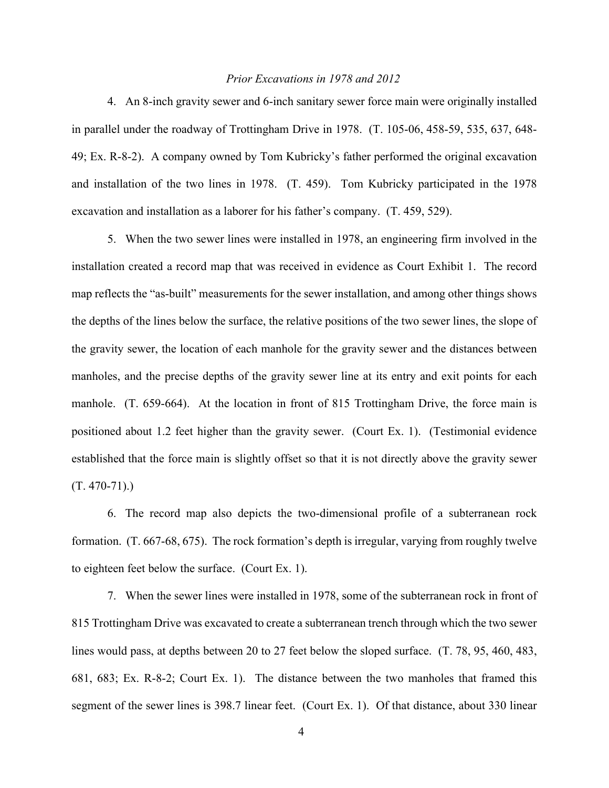## *Prior Excavations in 1978 and 2012*

4. An 8-inch gravity sewer and 6-inch sanitary sewer force main were originally installed in parallel under the roadway of Trottingham Drive in 1978. (T. 105-06, 458-59, 535, 637, 648- 49; Ex. R-8-2). A company owned by Tom Kubricky's father performed the original excavation and installation of the two lines in 1978. (T. 459). Tom Kubricky participated in the 1978 excavation and installation as a laborer for his father's company. (T. 459, 529).

5. When the two sewer lines were installed in 1978, an engineering firm involved in the installation created a record map that was received in evidence as Court Exhibit 1. The record map reflects the "as-built" measurements for the sewer installation, and among other things shows the depths of the lines below the surface, the relative positions of the two sewer lines, the slope of the gravity sewer, the location of each manhole for the gravity sewer and the distances between manholes, and the precise depths of the gravity sewer line at its entry and exit points for each manhole. (T. 659-664). At the location in front of 815 Trottingham Drive, the force main is positioned about 1.2 feet higher than the gravity sewer. (Court Ex. 1). (Testimonial evidence established that the force main is slightly offset so that it is not directly above the gravity sewer  $(T. 470-71)$ .

6. The record map also depicts the two-dimensional profile of a subterranean rock formation. (T. 667-68, 675). The rock formation's depth is irregular, varying from roughly twelve to eighteen feet below the surface. (Court Ex. 1).

7. When the sewer lines were installed in 1978, some of the subterranean rock in front of 815 Trottingham Drive was excavated to create a subterranean trench through which the two sewer lines would pass, at depths between 20 to 27 feet below the sloped surface. (T. 78, 95, 460, 483, 681, 683; Ex. R-8-2; Court Ex. 1). The distance between the two manholes that framed this segment of the sewer lines is 398.7 linear feet. (Court Ex. 1). Of that distance, about 330 linear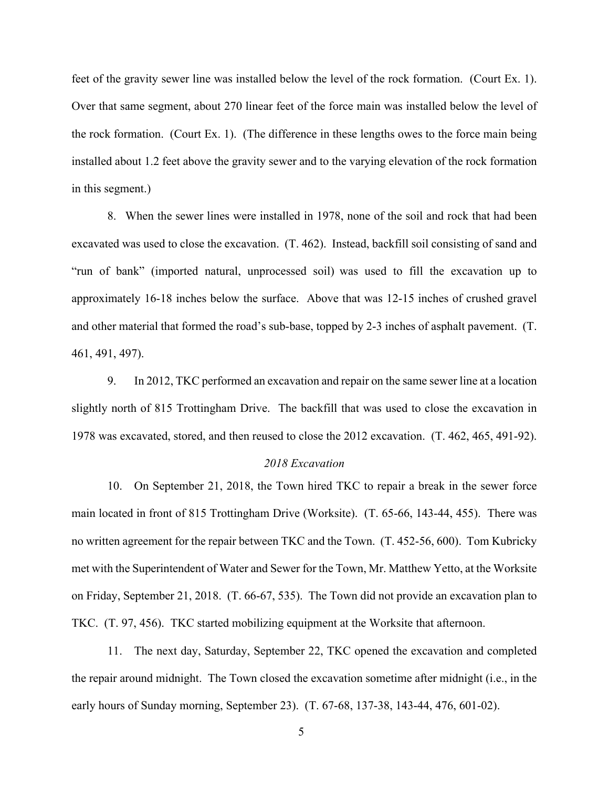feet of the gravity sewer line was installed below the level of the rock formation. (Court Ex. 1). Over that same segment, about 270 linear feet of the force main was installed below the level of the rock formation. (Court Ex. 1). (The difference in these lengths owes to the force main being installed about 1.2 feet above the gravity sewer and to the varying elevation of the rock formation in this segment.)

8. When the sewer lines were installed in 1978, none of the soil and rock that had been excavated was used to close the excavation. (T. 462). Instead, backfill soil consisting of sand and "run of bank" (imported natural, unprocessed soil) was used to fill the excavation up to approximately 16-18 inches below the surface. Above that was 12-15 inches of crushed gravel and other material that formed the road's sub-base, topped by 2-3 inches of asphalt pavement. (T. 461, 491, 497).

9. In 2012, TKC performed an excavation and repair on the same sewer line at a location slightly north of 815 Trottingham Drive. The backfill that was used to close the excavation in 1978 was excavated, stored, and then reused to close the 2012 excavation. (T. 462, 465, 491-92).

#### *2018 Excavation*

10. On September 21, 2018, the Town hired TKC to repair a break in the sewer force main located in front of 815 Trottingham Drive (Worksite). (T. 65-66, 143-44, 455). There was no written agreement for the repair between TKC and the Town. (T. 452-56, 600). Tom Kubricky met with the Superintendent of Water and Sewer for the Town, Mr. Matthew Yetto, at the Worksite on Friday, September 21, 2018. (T. 66-67, 535). The Town did not provide an excavation plan to TKC. (T. 97, 456). TKC started mobilizing equipment at the Worksite that afternoon.

11. The next day, Saturday, September 22, TKC opened the excavation and completed the repair around midnight. The Town closed the excavation sometime after midnight (i.e., in the early hours of Sunday morning, September 23). (T. 67-68, 137-38, 143-44, 476, 601-02).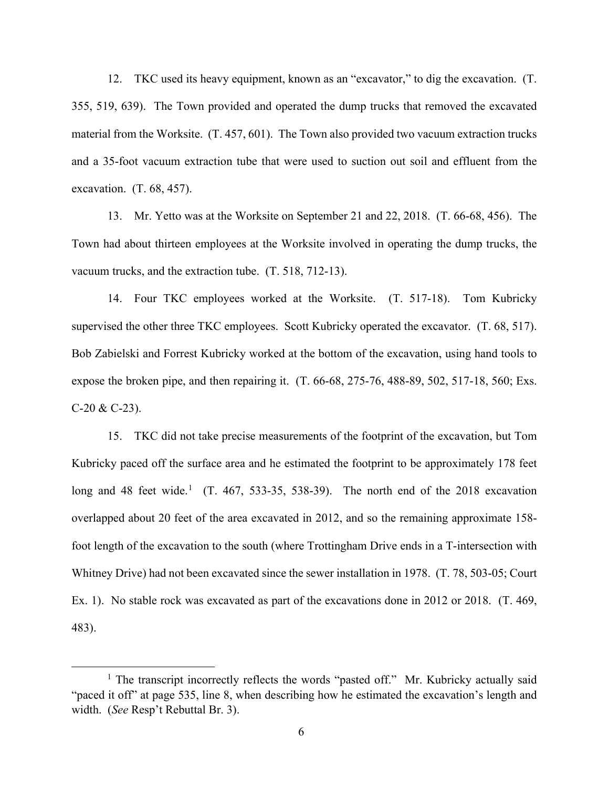12. TKC used its heavy equipment, known as an "excavator," to dig the excavation. (T. 355, 519, 639). The Town provided and operated the dump trucks that removed the excavated material from the Worksite. (T. 457, 601). The Town also provided two vacuum extraction trucks and a 35-foot vacuum extraction tube that were used to suction out soil and effluent from the excavation. (T. 68, 457).

13. Mr. Yetto was at the Worksite on September 21 and 22, 2018. (T. 66-68, 456). The Town had about thirteen employees at the Worksite involved in operating the dump trucks, the vacuum trucks, and the extraction tube. (T. 518, 712-13).

14. Four TKC employees worked at the Worksite. (T. 517-18). Tom Kubricky supervised the other three TKC employees. Scott Kubricky operated the excavator. (T. 68, 517). Bob Zabielski and Forrest Kubricky worked at the bottom of the excavation, using hand tools to expose the broken pipe, and then repairing it. (T. 66-68, 275-76, 488-89, 502, 517-18, 560; Exs.  $C-20 & C-23$ ).

15. TKC did not take precise measurements of the footprint of the excavation, but Tom Kubricky paced off the surface area and he estimated the footprint to be approximately 178 feet long and 48 feet wide.<sup>[1](#page-5-0)</sup> (T. 467, 533-35, 538-39). The north end of the 2018 excavation overlapped about 20 feet of the area excavated in 2012, and so the remaining approximate 158 foot length of the excavation to the south (where Trottingham Drive ends in a T-intersection with Whitney Drive) had not been excavated since the sewer installation in 1978. (T. 78, 503-05; Court Ex. 1). No stable rock was excavated as part of the excavations done in 2012 or 2018. (T. 469, 483).

<span id="page-5-0"></span><sup>&</sup>lt;sup>1</sup> The transcript incorrectly reflects the words "pasted off." Mr. Kubricky actually said "paced it off" at page 535, line 8, when describing how he estimated the excavation's length and width. (*See* Resp't Rebuttal Br. 3).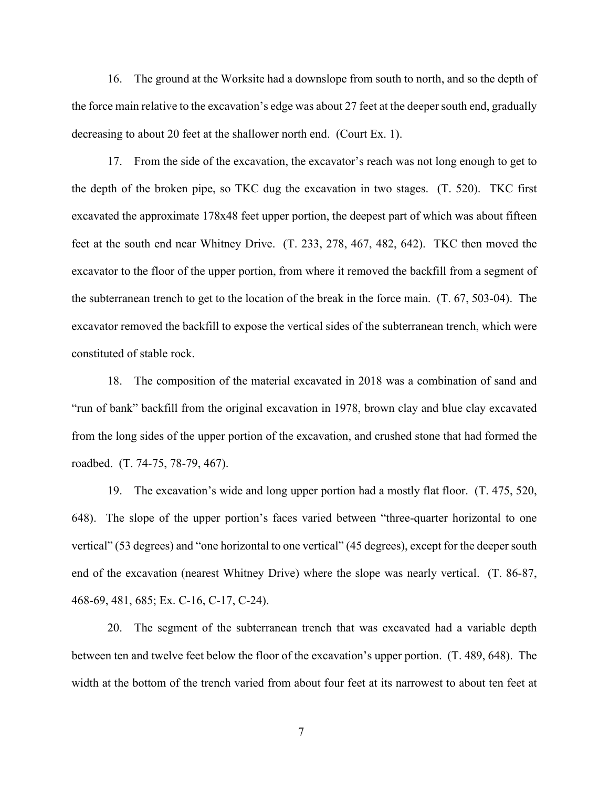16. The ground at the Worksite had a downslope from south to north, and so the depth of the force main relative to the excavation's edge was about 27 feet at the deeper south end, gradually decreasing to about 20 feet at the shallower north end. (Court Ex. 1).

17. From the side of the excavation, the excavator's reach was not long enough to get to the depth of the broken pipe, so TKC dug the excavation in two stages. (T. 520). TKC first excavated the approximate 178x48 feet upper portion, the deepest part of which was about fifteen feet at the south end near Whitney Drive. (T. 233, 278, 467, 482, 642). TKC then moved the excavator to the floor of the upper portion, from where it removed the backfill from a segment of the subterranean trench to get to the location of the break in the force main. (T. 67, 503-04). The excavator removed the backfill to expose the vertical sides of the subterranean trench, which were constituted of stable rock.

18. The composition of the material excavated in 2018 was a combination of sand and "run of bank" backfill from the original excavation in 1978, brown clay and blue clay excavated from the long sides of the upper portion of the excavation, and crushed stone that had formed the roadbed. (T. 74-75, 78-79, 467).

19. The excavation's wide and long upper portion had a mostly flat floor. (T. 475, 520, 648). The slope of the upper portion's faces varied between "three-quarter horizontal to one vertical" (53 degrees) and "one horizontal to one vertical" (45 degrees), except for the deeper south end of the excavation (nearest Whitney Drive) where the slope was nearly vertical. (T. 86-87, 468-69, 481, 685; Ex. C-16, C-17, C-24).

20. The segment of the subterranean trench that was excavated had a variable depth between ten and twelve feet below the floor of the excavation's upper portion. (T. 489, 648). The width at the bottom of the trench varied from about four feet at its narrowest to about ten feet at

7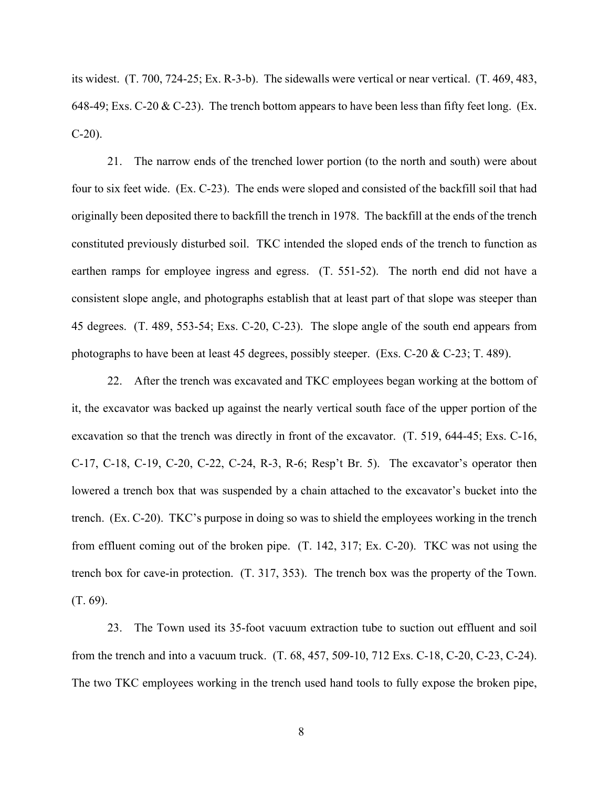its widest. (T. 700, 724-25; Ex. R-3-b). The sidewalls were vertical or near vertical. (T. 469, 483, 648-49; Exs. C-20 & C-23). The trench bottom appears to have been less than fifty feet long. (Ex.  $C-20$ ).

21. The narrow ends of the trenched lower portion (to the north and south) were about four to six feet wide. (Ex. C-23). The ends were sloped and consisted of the backfill soil that had originally been deposited there to backfill the trench in 1978. The backfill at the ends of the trench constituted previously disturbed soil. TKC intended the sloped ends of the trench to function as earthen ramps for employee ingress and egress. (T. 551-52). The north end did not have a consistent slope angle, and photographs establish that at least part of that slope was steeper than 45 degrees. (T. 489, 553-54; Exs. C-20, C-23). The slope angle of the south end appears from photographs to have been at least 45 degrees, possibly steeper. (Exs. C-20 & C-23; T. 489).

22. After the trench was excavated and TKC employees began working at the bottom of it, the excavator was backed up against the nearly vertical south face of the upper portion of the excavation so that the trench was directly in front of the excavator. (T. 519, 644-45; Exs. C-16, C-17, C-18, C-19, C-20, C-22, C-24, R-3, R-6; Resp't Br. 5). The excavator's operator then lowered a trench box that was suspended by a chain attached to the excavator's bucket into the trench. (Ex. C-20). TKC's purpose in doing so was to shield the employees working in the trench from effluent coming out of the broken pipe. (T. 142, 317; Ex. C-20). TKC was not using the trench box for cave-in protection. (T. 317, 353). The trench box was the property of the Town. (T. 69).

23. The Town used its 35-foot vacuum extraction tube to suction out effluent and soil from the trench and into a vacuum truck. (T. 68, 457, 509-10, 712 Exs. C-18, C-20, C-23, C-24). The two TKC employees working in the trench used hand tools to fully expose the broken pipe,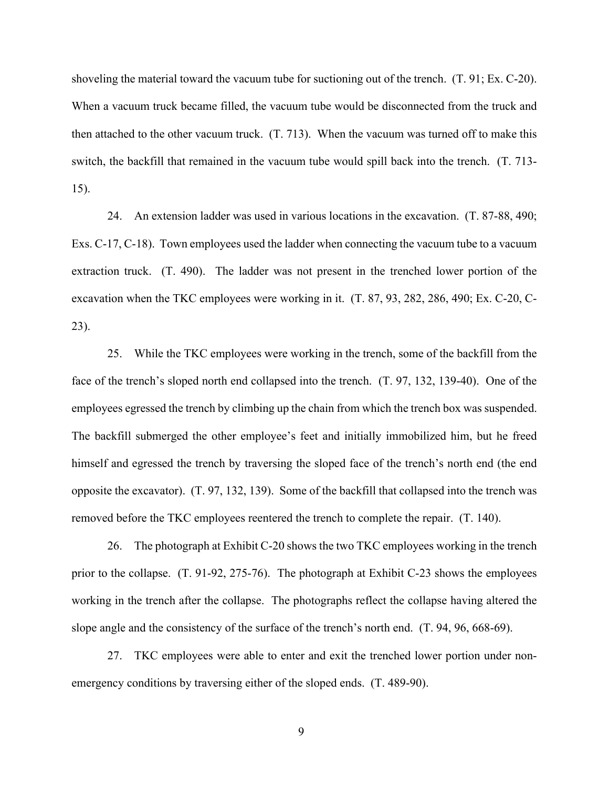shoveling the material toward the vacuum tube for suctioning out of the trench. (T. 91; Ex. C-20). When a vacuum truck became filled, the vacuum tube would be disconnected from the truck and then attached to the other vacuum truck. (T. 713). When the vacuum was turned off to make this switch, the backfill that remained in the vacuum tube would spill back into the trench. (T. 713- 15).

24. An extension ladder was used in various locations in the excavation. (T. 87-88, 490; Exs. C-17, C-18). Town employees used the ladder when connecting the vacuum tube to a vacuum extraction truck. (T. 490). The ladder was not present in the trenched lower portion of the excavation when the TKC employees were working in it. (T. 87, 93, 282, 286, 490; Ex. C-20, C-23).

25. While the TKC employees were working in the trench, some of the backfill from the face of the trench's sloped north end collapsed into the trench. (T. 97, 132, 139-40). One of the employees egressed the trench by climbing up the chain from which the trench box was suspended. The backfill submerged the other employee's feet and initially immobilized him, but he freed himself and egressed the trench by traversing the sloped face of the trench's north end (the end opposite the excavator). (T. 97, 132, 139). Some of the backfill that collapsed into the trench was removed before the TKC employees reentered the trench to complete the repair. (T. 140).

26. The photograph at Exhibit C-20 shows the two TKC employees working in the trench prior to the collapse. (T. 91-92, 275-76). The photograph at Exhibit C-23 shows the employees working in the trench after the collapse. The photographs reflect the collapse having altered the slope angle and the consistency of the surface of the trench's north end. (T. 94, 96, 668-69).

27. TKC employees were able to enter and exit the trenched lower portion under nonemergency conditions by traversing either of the sloped ends. (T. 489-90).

9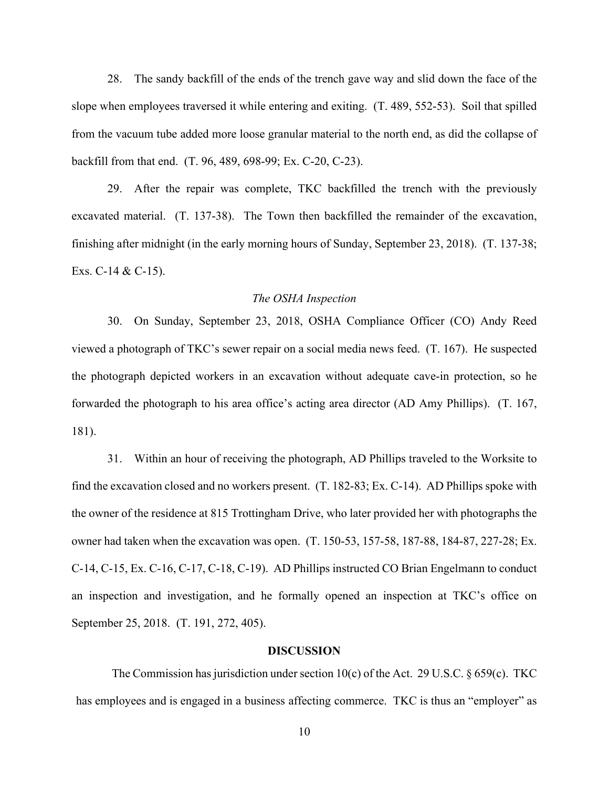28. The sandy backfill of the ends of the trench gave way and slid down the face of the slope when employees traversed it while entering and exiting. (T. 489, 552-53). Soil that spilled from the vacuum tube added more loose granular material to the north end, as did the collapse of backfill from that end. (T. 96, 489, 698-99; Ex. C-20, C-23).

29. After the repair was complete, TKC backfilled the trench with the previously excavated material. (T. 137-38). The Town then backfilled the remainder of the excavation, finishing after midnight (in the early morning hours of Sunday, September 23, 2018). (T. 137-38; Exs. C-14 & C-15).

#### *The OSHA Inspection*

30. On Sunday, September 23, 2018, OSHA Compliance Officer (CO) Andy Reed viewed a photograph of TKC's sewer repair on a social media news feed. (T. 167). He suspected the photograph depicted workers in an excavation without adequate cave-in protection, so he forwarded the photograph to his area office's acting area director (AD Amy Phillips). (T. 167, 181).

31. Within an hour of receiving the photograph, AD Phillips traveled to the Worksite to find the excavation closed and no workers present. (T. 182-83; Ex. C-14). AD Phillips spoke with the owner of the residence at 815 Trottingham Drive, who later provided her with photographs the owner had taken when the excavation was open. (T. 150-53, 157-58, 187-88, 184-87, 227-28; Ex. C-14, C-15, Ex. C-16, C-17, C-18, C-19). AD Phillips instructed CO Brian Engelmann to conduct an inspection and investigation, and he formally opened an inspection at TKC's office on September 25, 2018. (T. 191, 272, 405).

#### **DISCUSSION**

The Commission has jurisdiction under section 10(c) of the Act. 29 U.S.C.  $\S 659(c)$ . TKC has employees and is engaged in a business affecting commerce. TKC is thus an "employer" as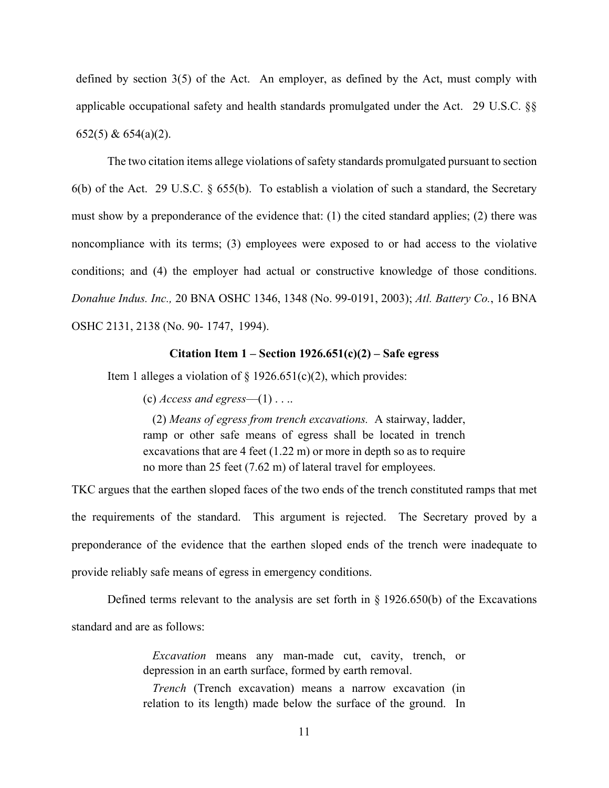defined by section 3(5) of the Act. An employer, as defined by the Act, must comply with applicable occupational safety and health standards promulgated under the Act. 29 U.S.C. §§ 652(5) & 654(a)(2).

The two citation items allege violations of safety standards promulgated pursuant to section 6(b) of the Act. 29 U.S.C. § 655(b). To establish a violation of such a standard, the Secretary must show by a preponderance of the evidence that: (1) the cited standard applies; (2) there was noncompliance with its terms; (3) employees were exposed to or had access to the violative conditions; and (4) the employer had actual or constructive knowledge of those conditions. *Donahue Indus. Inc.,* 20 BNA OSHC 1346, 1348 (No. 99-0191, 2003); *Atl. Battery Co.*, 16 BNA OSHC 2131, 2138 (No. 90- 1747, 1994).

#### **Citation Item 1 – Section 1926.651(c)(2) – Safe egress**

Item 1 alleges a violation of  $\S 1926.651(c)(2)$ , which provides:

(c)  $\text{Access}$  and egress—(1) . . ..

(2) *Means of egress from trench excavations.* A stairway, ladder, ramp or other safe means of egress shall be located in trench excavations that are 4 feet (1.22 m) or more in depth so as to require no more than 25 feet (7.62 m) of lateral travel for employees.

TKC argues that the earthen sloped faces of the two ends of the trench constituted ramps that met the requirements of the standard. This argument is rejected. The Secretary proved by a preponderance of the evidence that the earthen sloped ends of the trench were inadequate to provide reliably safe means of egress in emergency conditions.

Defined terms relevant to the analysis are set forth in § 1926.650(b) of the Excavations standard and are as follows:

> *Excavation* means any man-made cut, cavity, trench, or depression in an earth surface, formed by earth removal.

> *Trench* (Trench excavation) means a narrow excavation (in relation to its length) made below the surface of the ground. In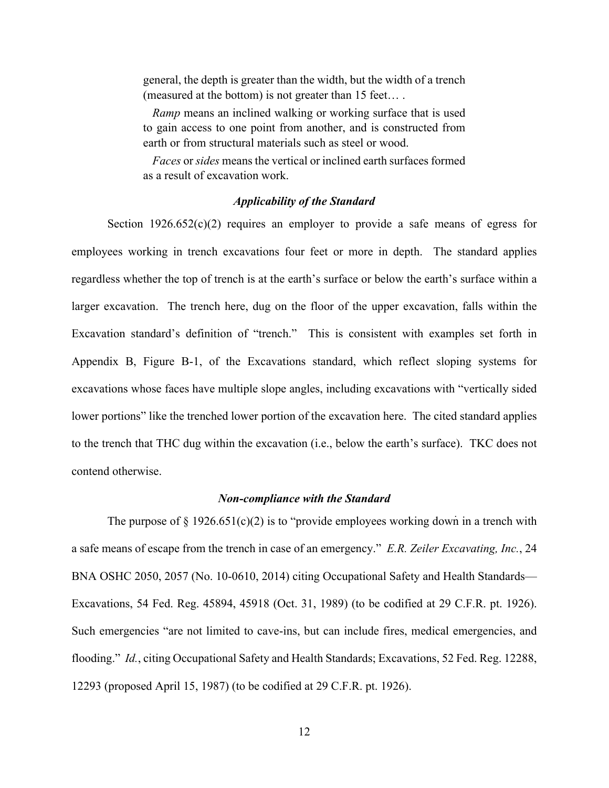general, the depth is greater than the width, but the width of a trench (measured at the bottom) is not greater than 15 feet… .

*Ramp* means an inclined walking or working surface that is used to gain access to one point from another, and is constructed from earth or from structural materials such as steel or wood.

*Faces* or *sides* means the vertical or inclined earth surfaces formed as a result of excavation work.

## *Applicability of the Standard*

Section  $1926.652(c)(2)$  requires an employer to provide a safe means of egress for employees working in trench excavations four feet or more in depth. The standard applies regardless whether the top of trench is at the earth's surface or below the earth's surface within a larger excavation. The trench here, dug on the floor of the upper excavation, falls within the Excavation standard's definition of "trench." This is consistent with examples set forth in Appendix B, Figure B-1, of the Excavations standard, which reflect sloping systems for excavations whose faces have multiple slope angles, including excavations with "vertically sided lower portions" like the trenched lower portion of the excavation here. The cited standard applies to the trench that THC dug within the excavation (i.e., below the earth's surface). TKC does not contend otherwise.

#### *Non-compliance with the Standard*

The purpose of  $\S 1926.651(c)(2)$  is to "provide employees working down in a trench with a safe means of escape from the trench in case of an emergency." *E.R. Zeiler Excavating, Inc.*, 24 BNA OSHC 2050, 2057 (No. 10-0610, 2014) citing Occupational Safety and Health Standards— Excavations, 54 Fed. Reg. 45894, 45918 (Oct. 31, 1989) (to be codified at 29 C.F.R. pt. 1926). Such emergencies "are not limited to cave-ins, but can include fires, medical emergencies, and flooding." *Id.*, citing Occupational Safety and Health Standards; Excavations, 52 Fed. Reg. 12288, 12293 (proposed April 15, 1987) (to be codified at 29 C.F.R. pt. 1926).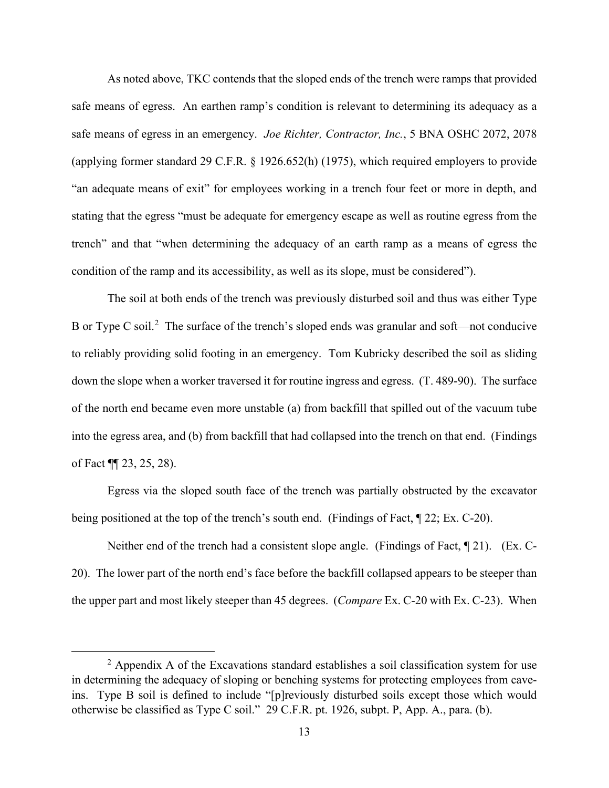As noted above, TKC contends that the sloped ends of the trench were ramps that provided safe means of egress. An earthen ramp's condition is relevant to determining its adequacy as a safe means of egress in an emergency. *Joe Richter, Contractor, Inc.*, 5 BNA OSHC 2072, 2078 (applying former standard 29 C.F.R. § 1926.652(h) (1975), which required employers to provide "an adequate means of exit" for employees working in a trench four feet or more in depth, and stating that the egress "must be adequate for emergency escape as well as routine egress from the trench" and that "when determining the adequacy of an earth ramp as a means of egress the condition of the ramp and its accessibility, as well as its slope, must be considered").

The soil at both ends of the trench was previously disturbed soil and thus was either Type B or Type C soil.<sup>[2](#page-12-0)</sup> The surface of the trench's sloped ends was granular and soft—not conducive to reliably providing solid footing in an emergency. Tom Kubricky described the soil as sliding down the slope when a worker traversed it for routine ingress and egress. (T. 489-90). The surface of the north end became even more unstable (a) from backfill that spilled out of the vacuum tube into the egress area, and (b) from backfill that had collapsed into the trench on that end. (Findings of Fact ¶¶ 23, 25, 28).

Egress via the sloped south face of the trench was partially obstructed by the excavator being positioned at the top of the trench's south end. (Findings of Fact, ¶ 22; Ex. C-20).

Neither end of the trench had a consistent slope angle. (Findings of Fact, ¶ 21). (Ex. C-20). The lower part of the north end's face before the backfill collapsed appears to be steeper than the upper part and most likely steeper than 45 degrees. (*Compare* Ex. C-20 with Ex. C-23). When

<span id="page-12-0"></span> $2$  Appendix A of the Excavations standard establishes a soil classification system for use in determining the adequacy of sloping or benching systems for protecting employees from caveins. Type B soil is defined to include "[p]reviously disturbed soils except those which would otherwise be classified as Type C soil." 29 C.F.R. pt. 1926, subpt. P, App. A., para. (b).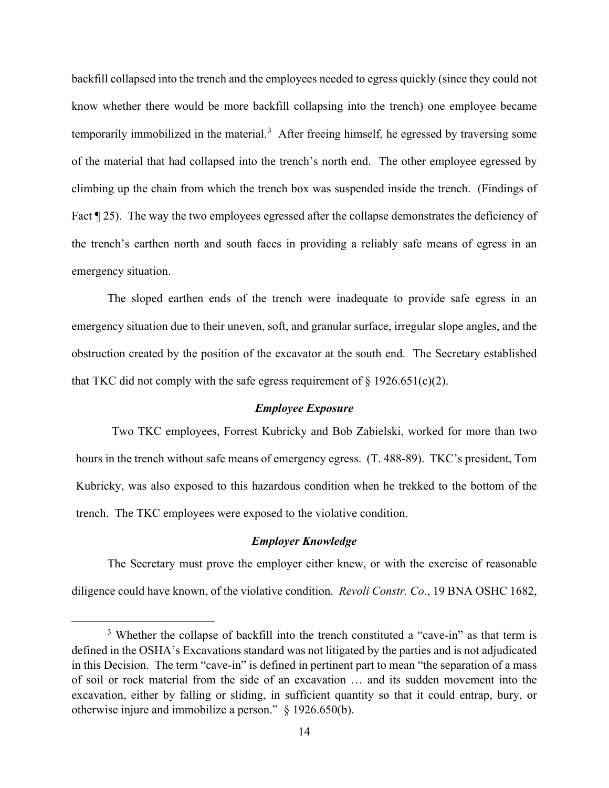backfill collapsed into the trench and the employees needed to egress quickly (since they could not know whether there would be more backfill collapsing into the trench) one employee became temporarily immobilized in the material.<sup>[3](#page-13-0)</sup> After freeing himself, he egressed by traversing some of the material that had collapsed into the trench's north end. The other employee egressed by climbing up the chain from which the trench box was suspended inside the trench. (Findings of Fact  $\parallel$  25). The way the two employees egressed after the collapse demonstrates the deficiency of the trench's earthen north and south faces in providing a reliably safe means of egress in an emergency situation.

The sloped earthen ends of the trench were inadequate to provide safe egress in an emergency situation due to their uneven, soft, and granular surface, irregular slope angles, and the obstruction created by the position of the excavator at the south end. The Secretary established that TKC did not comply with the safe egress requirement of  $\S 1926.651(c)(2)$ .

#### *Employee Exposure*

Two TKC employees, Forrest Kubricky and Bob Zabielski, worked for more than two hours in the trench without safe means of emergency egress. (T. 488-89). TKC's president, Tom Kubricky, was also exposed to this hazardous condition when he trekked to the bottom of the trench. The TKC employees were exposed to the violative condition.

#### *Employer Knowledge*

The Secretary must prove the employer either knew, or with the exercise of reasonable diligence could have known, of the violative condition. *Revoli Constr. Co*., 19 BNA OSHC 1682,

<span id="page-13-0"></span><sup>&</sup>lt;sup>3</sup> Whether the collapse of backfill into the trench constituted a "cave-in" as that term is defined in the OSHA's Excavations standard was not litigated by the parties and is not adjudicated in this Decision. The term "cave-in" is defined in pertinent part to mean "the separation of a mass of soil or rock material from the side of an excavation … and its sudden movement into the excavation, either by falling or sliding, in sufficient quantity so that it could entrap, bury, or otherwise injure and immobilize a person." § 1926.650(b).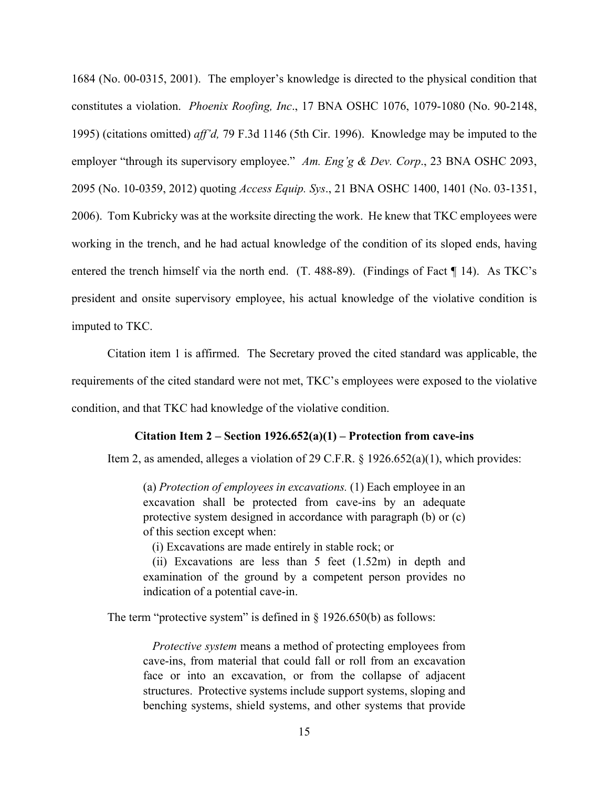1684 (No. 00-0315, 2001). The employer's knowledge is directed to the physical condition that constitutes a violation. *Phoenix Roofing, Inc*., 17 BNA OSHC 1076, 1079-1080 (No. 90-2148, 1995) (citations omitted) *aff'd,* 79 F.3d 1146 (5th Cir. 1996). Knowledge may be imputed to the employer "through its supervisory employee." *Am. Eng'g & Dev. Corp*., 23 BNA OSHC 2093, 2095 (No. 10-0359, 2012) quoting *Access Equip. Sys*., 21 BNA OSHC 1400, 1401 (No. 03-1351, 2006). Tom Kubricky was at the worksite directing the work. He knew that TKC employees were working in the trench, and he had actual knowledge of the condition of its sloped ends, having entered the trench himself via the north end. (T. 488-89). (Findings of Fact ¶ 14). As TKC's president and onsite supervisory employee, his actual knowledge of the violative condition is imputed to TKC.

Citation item 1 is affirmed. The Secretary proved the cited standard was applicable, the requirements of the cited standard were not met, TKC's employees were exposed to the violative condition, and that TKC had knowledge of the violative condition.

#### **Citation Item 2 – Section 1926.652(a)(1) – Protection from cave-ins**

Item 2, as amended, alleges a violation of 29 C.F.R. § 1926.652(a)(1), which provides:

(a) *Protection of employees in excavations.* (1) Each employee in an excavation shall be protected from cave-ins by an adequate protective system designed in accordance with paragraph (b) or (c) of this section except when:

(i) Excavations are made entirely in stable rock; or

(ii) Excavations are less than 5 feet (1.52m) in depth and examination of the ground by a competent person provides no indication of a potential cave-in.

The term "protective system" is defined in  $\S$  1926.650(b) as follows:

*Protective system* means a method of protecting employees from cave-ins, from material that could fall or roll from an excavation face or into an excavation, or from the collapse of adjacent structures. Protective systems include support systems, sloping and benching systems, shield systems, and other systems that provide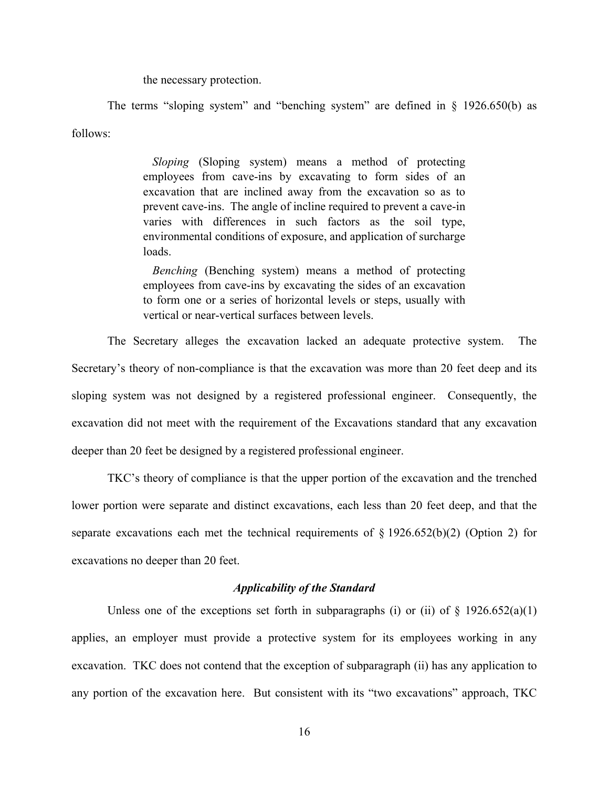the necessary protection.

The terms "sloping system" and "benching system" are defined in § 1926.650(b) as follows:

> *Sloping* (Sloping system) means a method of protecting employees from cave-ins by excavating to form sides of an excavation that are inclined away from the excavation so as to prevent cave-ins. The angle of incline required to prevent a cave-in varies with differences in such factors as the soil type, environmental conditions of exposure, and application of surcharge loads.

> *Benching* (Benching system) means a method of protecting employees from cave-ins by excavating the sides of an excavation to form one or a series of horizontal levels or steps, usually with vertical or near-vertical surfaces between levels.

The Secretary alleges the excavation lacked an adequate protective system. The Secretary's theory of non-compliance is that the excavation was more than 20 feet deep and its sloping system was not designed by a registered professional engineer. Consequently, the excavation did not meet with the requirement of the Excavations standard that any excavation deeper than 20 feet be designed by a registered professional engineer.

TKC's theory of compliance is that the upper portion of the excavation and the trenched lower portion were separate and distinct excavations, each less than 20 feet deep, and that the separate excavations each met the technical requirements of  $\S 1926.652(b)(2)$  (Option 2) for excavations no deeper than 20 feet.

## *Applicability of the Standard*

Unless one of the exceptions set forth in subparagraphs (i) or (ii) of  $\S$  1926.652(a)(1) applies, an employer must provide a protective system for its employees working in any excavation. TKC does not contend that the exception of subparagraph (ii) has any application to any portion of the excavation here. But consistent with its "two excavations" approach, TKC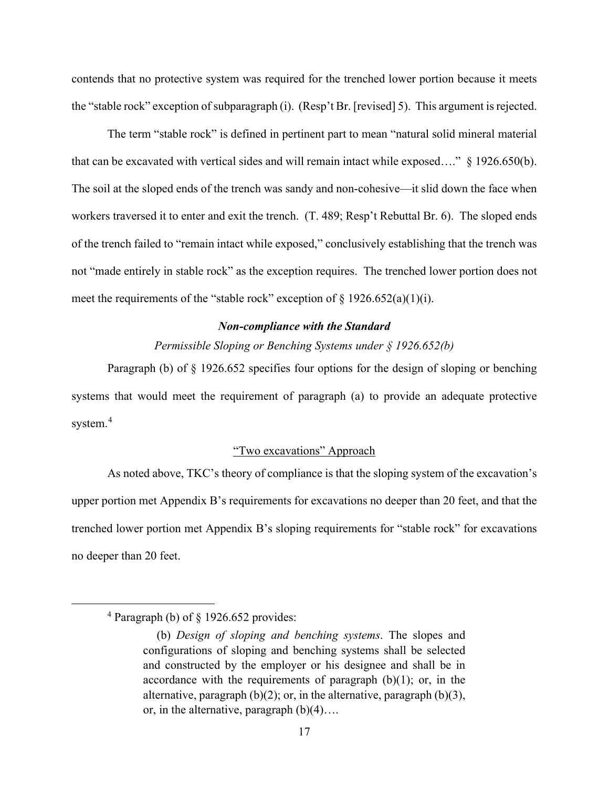contends that no protective system was required for the trenched lower portion because it meets the "stable rock" exception of subparagraph (i). (Resp't Br. [revised] 5). This argument is rejected.

The term "stable rock" is defined in pertinent part to mean "natural solid mineral material that can be excavated with vertical sides and will remain intact while exposed…." § 1926.650(b). The soil at the sloped ends of the trench was sandy and non-cohesive––it slid down the face when workers traversed it to enter and exit the trench. (T. 489; Resp't Rebuttal Br. 6). The sloped ends of the trench failed to "remain intact while exposed," conclusively establishing that the trench was not "made entirely in stable rock" as the exception requires. The trenched lower portion does not meet the requirements of the "stable rock" exception of  $\S$  1926.652(a)(1)(i).

### *Non-compliance with the Standard*

*Permissible Sloping or Benching Systems under § 1926.652(b)* 

Paragraph (b) of § 1926.652 specifies four options for the design of sloping or benching systems that would meet the requirement of paragraph (a) to provide an adequate protective system.<sup>[4](#page-16-0)</sup>

# "Two excavations" Approach

As noted above, TKC's theory of compliance is that the sloping system of the excavation's upper portion met Appendix B's requirements for excavations no deeper than 20 feet, and that the trenched lower portion met Appendix B's sloping requirements for "stable rock" for excavations no deeper than 20 feet.

<span id="page-16-0"></span><sup>4</sup> Paragraph (b) of § 1926.652 provides:

<sup>(</sup>b) *Design of sloping and benching systems*. The slopes and configurations of sloping and benching systems shall be selected and constructed by the employer or his designee and shall be in accordance with the requirements of paragraph  $(b)(1)$ ; or, in the alternative, paragraph  $(b)(2)$ ; or, in the alternative, paragraph  $(b)(3)$ , or, in the alternative, paragraph  $(b)(4)$ ...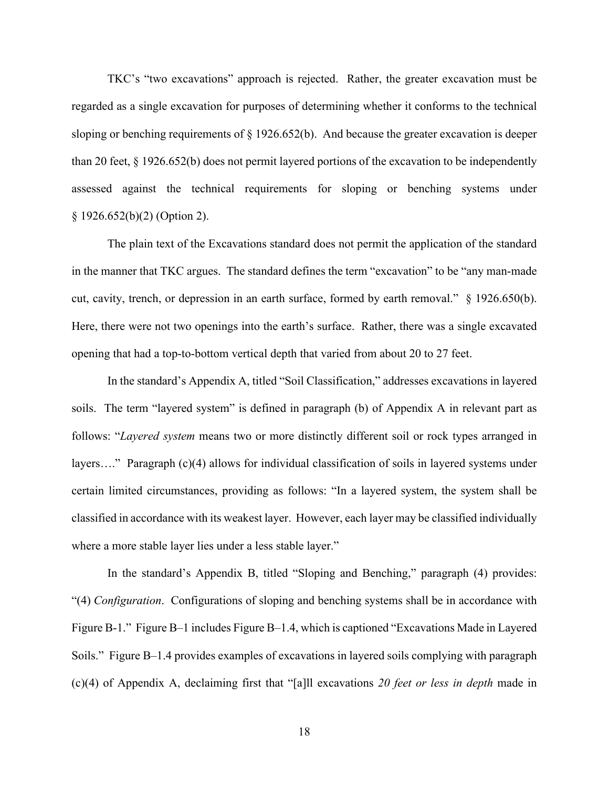TKC's "two excavations" approach is rejected. Rather, the greater excavation must be regarded as a single excavation for purposes of determining whether it conforms to the technical sloping or benching requirements of § 1926.652(b). And because the greater excavation is deeper than 20 feet, § 1926.652(b) does not permit layered portions of the excavation to be independently assessed against the technical requirements for sloping or benching systems under § 1926.652(b)(2) (Option 2).

The plain text of the Excavations standard does not permit the application of the standard in the manner that TKC argues. The standard defines the term "excavation" to be "any man-made cut, cavity, trench, or depression in an earth surface, formed by earth removal." § 1926.650(b). Here, there were not two openings into the earth's surface. Rather, there was a single excavated opening that had a top-to-bottom vertical depth that varied from about 20 to 27 feet.

In the standard's Appendix A, titled "Soil Classification," addresses excavations in layered soils. The term "layered system" is defined in paragraph (b) of Appendix A in relevant part as follows: "*Layered system* means two or more distinctly different soil or rock types arranged in layers…." Paragraph (c)(4) allows for individual classification of soils in layered systems under certain limited circumstances, providing as follows: "In a layered system, the system shall be classified in accordance with its weakest layer. However, each layer may be classified individually where a more stable layer lies under a less stable layer."

In the standard's Appendix B, titled "Sloping and Benching," paragraph (4) provides: "(4) *Configuration*. Configurations of sloping and benching systems shall be in accordance with Figure B-1." Figure B–1 includes Figure B–1.4, which is captioned "Excavations Made in Layered Soils." Figure B–1.4 provides examples of excavations in layered soils complying with paragraph (c)(4) of Appendix A, declaiming first that "[a]ll excavations *20 feet or less in depth* made in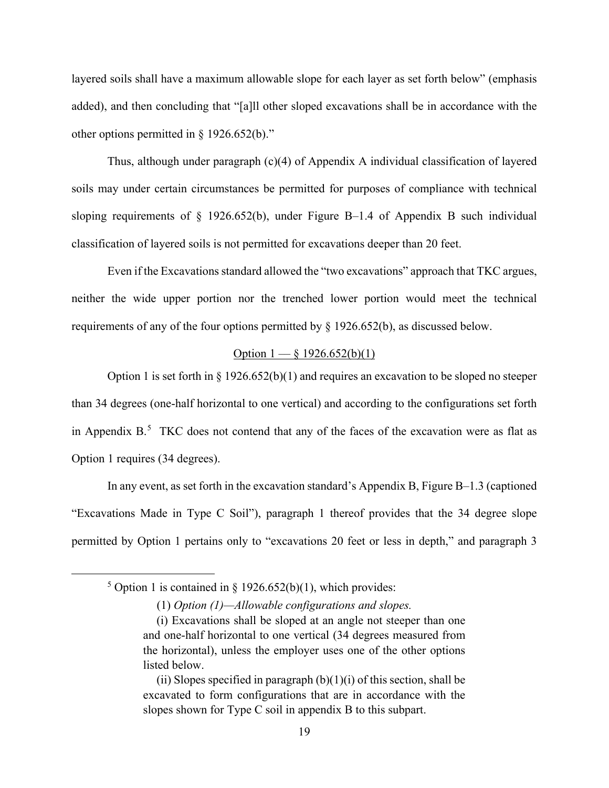layered soils shall have a maximum allowable slope for each layer as set forth below" (emphasis added), and then concluding that "[a]ll other sloped excavations shall be in accordance with the other options permitted in § 1926.652(b)."

Thus, although under paragraph (c)(4) of Appendix A individual classification of layered soils may under certain circumstances be permitted for purposes of compliance with technical sloping requirements of  $\S$  1926.652(b), under Figure B-1.4 of Appendix B such individual classification of layered soils is not permitted for excavations deeper than 20 feet.

Even if the Excavations standard allowed the "two excavations" approach that TKC argues, neither the wide upper portion nor the trenched lower portion would meet the technical requirements of any of the four options permitted by § 1926.652(b), as discussed below.

## Option  $1 - \xi$  1926.652(b)(1)

Option 1 is set forth in  $\S 1926.652(b)(1)$  and requires an excavation to be sloped no steeper than 34 degrees (one-half horizontal to one vertical) and according to the configurations set forth in Appendix  $B$ <sup>[5](#page-18-0)</sup>. TKC does not contend that any of the faces of the excavation were as flat as Option 1 requires (34 degrees).

In any event, as set forth in the excavation standard's Appendix B, Figure B–1.3 (captioned "Excavations Made in Type C Soil"), paragraph 1 thereof provides that the 34 degree slope permitted by Option 1 pertains only to "excavations 20 feet or less in depth," and paragraph 3

<span id="page-18-0"></span><sup>&</sup>lt;sup>5</sup> Option 1 is contained in § 1926.652(b)(1), which provides:

<sup>(1)</sup> *Option (1)—Allowable configurations and slopes.*

<sup>(</sup>i) Excavations shall be sloped at an angle not steeper than one and one-half horizontal to one vertical (34 degrees measured from the horizontal), unless the employer uses one of the other options listed below.

<sup>(</sup>ii) Slopes specified in paragraph  $(b)(1)(i)$  of this section, shall be excavated to form configurations that are in accordance with the slopes shown for Type C soil in appendix B to this subpart.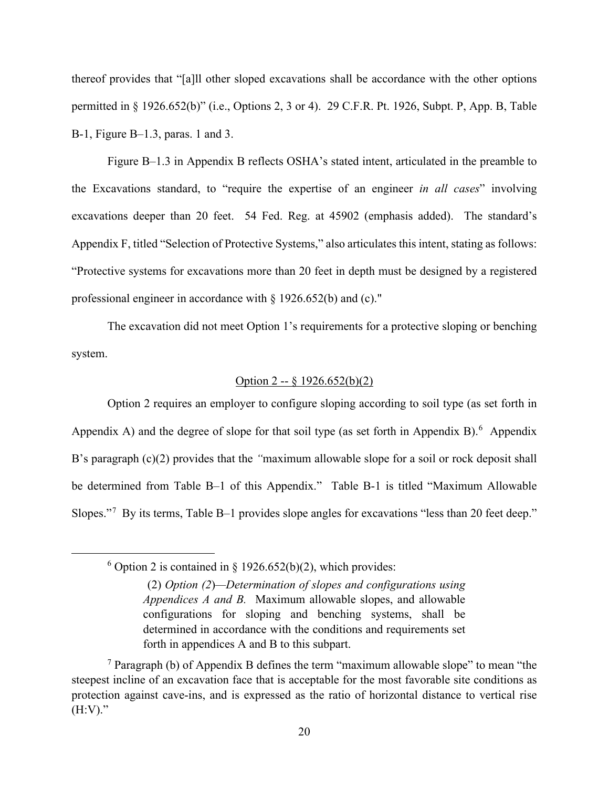thereof provides that "[a]ll other sloped excavations shall be accordance with the other options permitted in § 1926.652(b)" (i.e., Options 2, 3 or 4). 29 C.F.R. Pt. 1926, Subpt. P, App. B, Table B-1, Figure B–1.3, paras. 1 and 3.

Figure B–1.3 in Appendix B reflects OSHA's stated intent, articulated in the preamble to the Excavations standard, to "require the expertise of an engineer *in all cases*" involving excavations deeper than 20 feet. 54 Fed. Reg. at 45902 (emphasis added). The standard's Appendix F, titled "Selection of Protective Systems," also articulates this intent, stating as follows: "Protective systems for excavations more than 20 feet in depth must be designed by a registered professional engineer in accordance with § 1926.652(b) and (c)."

The excavation did not meet Option 1's requirements for a protective sloping or benching system.

## Option 2 -- § 1926.652(b)(2)

Option 2 requires an employer to configure sloping according to soil type (as set forth in Appendix A) and the degree of slope for that soil type (as set forth in Appendix B).<sup>[6](#page-19-0)</sup> Appendix B's paragraph (c)(2) provides that the *"*maximum allowable slope for a soil or rock deposit shall be determined from Table B–1 of this Appendix." Table B-1 is titled "Maximum Allowable Slopes."<sup>[7](#page-19-1)</sup> By its terms, Table B-1 provides slope angles for excavations "less than 20 feet deep."

<span id="page-19-0"></span> $6$  Option 2 is contained in § 1926.652(b)(2), which provides:

<sup>(2)</sup> *Option (2*)*—Determination of slopes and configurations using Appendices A and B.* Maximum allowable slopes, and allowable configurations for sloping and benching systems, shall be determined in accordance with the conditions and requirements set forth in appendices A and B to this subpart.

<span id="page-19-1"></span><sup>&</sup>lt;sup>7</sup> Paragraph (b) of Appendix B defines the term "maximum allowable slope" to mean "the steepest incline of an excavation face that is acceptable for the most favorable site conditions as protection against cave-ins, and is expressed as the ratio of horizontal distance to vertical rise  $(H:V)."$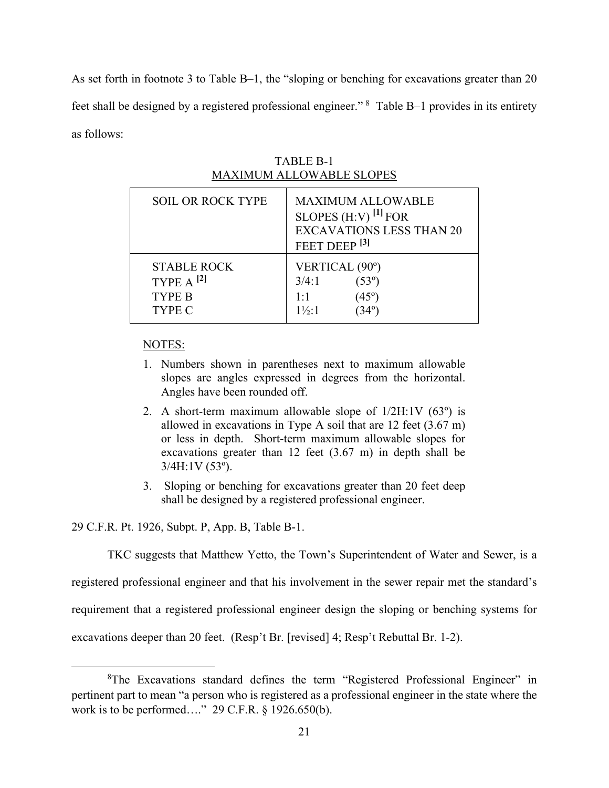As set forth in footnote 3 to Table B–1, the "sloping or benching for excavations greater than 20 feet shall be designed by a registered professional engineer." <sup>[8](#page-20-0)</sup> Table B-1 provides in its entirety as follows:

| <b>SOIL OR ROCK TYPE</b>                                        | <b>MAXIMUM ALLOWABLE</b><br>SLOPES $(H:V)$ <sup>[1]</sup> FOR<br><b>EXCAVATIONS LESS THAN 20</b><br>FEET DEEP <sup>[3]</sup> |
|-----------------------------------------------------------------|------------------------------------------------------------------------------------------------------------------------------|
| <b>STABLE ROCK</b><br>TYPE $A^{[2]}$<br><b>TYPE B</b><br>TYPE C | VERTICAL (90°)<br>3/4:1<br>$(53^{\circ})$<br>1:1<br>$(45^{\circ})$<br>$1\frac{1}{2}$ :1                                      |

TABLE B-1 MAXIMUM ALLOWABLE SLOPES

## NOTES:

- 1. Numbers shown in parentheses next to maximum allowable slopes are angles expressed in degrees from the horizontal. Angles have been rounded off.
- 2. A short-term maximum allowable slope of  $1/2H:1V$  (63<sup>o</sup>) is allowed in excavations in Type A soil that are 12 feet (3.67 m) or less in depth. Short-term maximum allowable slopes for excavations greater than 12 feet (3.67 m) in depth shall be 3/4H:1V (53º).
- 3. Sloping or benching for excavations greater than 20 feet deep shall be designed by a registered professional engineer.

29 C.F.R. Pt. 1926, Subpt. P, App. B, Table B-1.

TKC suggests that Matthew Yetto, the Town's Superintendent of Water and Sewer, is a

registered professional engineer and that his involvement in the sewer repair met the standard's

requirement that a registered professional engineer design the sloping or benching systems for

excavations deeper than 20 feet. (Resp't Br. [revised] 4; Resp't Rebuttal Br. 1-2).

<span id="page-20-0"></span><sup>&</sup>lt;sup>8</sup>The Excavations standard defines the term "Registered Professional Engineer" in pertinent part to mean "a person who is registered as a professional engineer in the state where the work is to be performed…." 29 C.F.R. § 1926.650(b).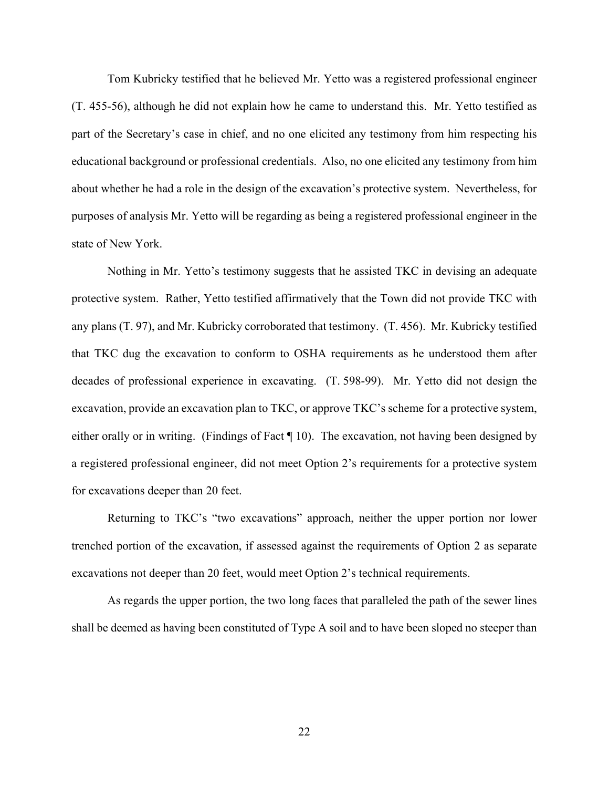Tom Kubricky testified that he believed Mr. Yetto was a registered professional engineer (T. 455-56), although he did not explain how he came to understand this. Mr. Yetto testified as part of the Secretary's case in chief, and no one elicited any testimony from him respecting his educational background or professional credentials. Also, no one elicited any testimony from him about whether he had a role in the design of the excavation's protective system. Nevertheless, for purposes of analysis Mr. Yetto will be regarding as being a registered professional engineer in the state of New York.

Nothing in Mr. Yetto's testimony suggests that he assisted TKC in devising an adequate protective system. Rather, Yetto testified affirmatively that the Town did not provide TKC with any plans (T. 97), and Mr. Kubricky corroborated that testimony. (T. 456). Mr. Kubricky testified that TKC dug the excavation to conform to OSHA requirements as he understood them after decades of professional experience in excavating. (T. 598-99). Mr. Yetto did not design the excavation, provide an excavation plan to TKC, or approve TKC's scheme for a protective system, either orally or in writing. (Findings of Fact ¶ 10). The excavation, not having been designed by a registered professional engineer, did not meet Option 2's requirements for a protective system for excavations deeper than 20 feet.

Returning to TKC's "two excavations" approach, neither the upper portion nor lower trenched portion of the excavation, if assessed against the requirements of Option 2 as separate excavations not deeper than 20 feet, would meet Option 2's technical requirements.

As regards the upper portion, the two long faces that paralleled the path of the sewer lines shall be deemed as having been constituted of Type A soil and to have been sloped no steeper than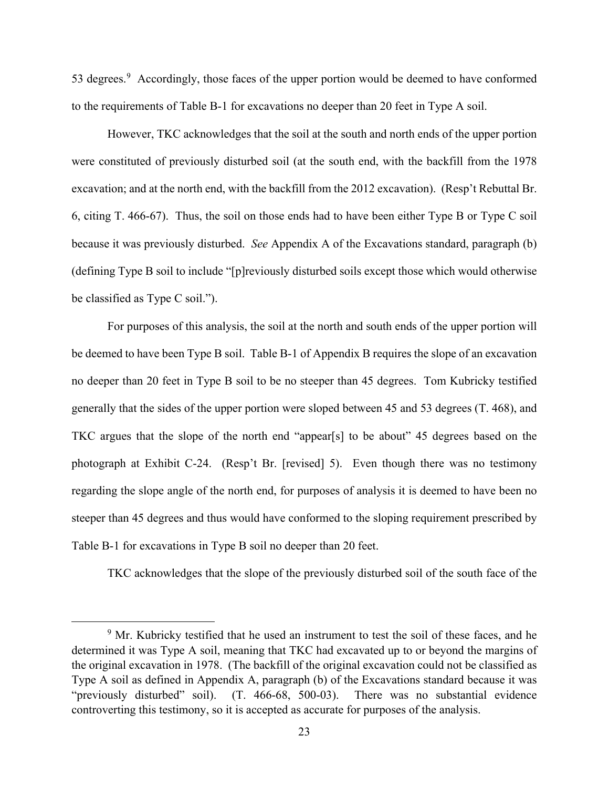53 degrees.<sup>[9](#page-22-0)</sup> Accordingly, those faces of the upper portion would be deemed to have conformed to the requirements of Table B-1 for excavations no deeper than 20 feet in Type A soil.

However, TKC acknowledges that the soil at the south and north ends of the upper portion were constituted of previously disturbed soil (at the south end, with the backfill from the 1978 excavation; and at the north end, with the backfill from the 2012 excavation). (Resp't Rebuttal Br. 6, citing T. 466-67). Thus, the soil on those ends had to have been either Type B or Type C soil because it was previously disturbed. *See* Appendix A of the Excavations standard, paragraph (b) (defining Type B soil to include "[p]reviously disturbed soils except those which would otherwise be classified as Type C soil.").

For purposes of this analysis, the soil at the north and south ends of the upper portion will be deemed to have been Type B soil. Table B-1 of Appendix B requires the slope of an excavation no deeper than 20 feet in Type B soil to be no steeper than 45 degrees. Tom Kubricky testified generally that the sides of the upper portion were sloped between 45 and 53 degrees (T. 468), and TKC argues that the slope of the north end "appear[s] to be about" 45 degrees based on the photograph at Exhibit C-24. (Resp't Br. [revised] 5). Even though there was no testimony regarding the slope angle of the north end, for purposes of analysis it is deemed to have been no steeper than 45 degrees and thus would have conformed to the sloping requirement prescribed by Table B-1 for excavations in Type B soil no deeper than 20 feet.

TKC acknowledges that the slope of the previously disturbed soil of the south face of the

<span id="page-22-0"></span><sup>&</sup>lt;sup>9</sup> Mr. Kubricky testified that he used an instrument to test the soil of these faces, and he determined it was Type A soil, meaning that TKC had excavated up to or beyond the margins of the original excavation in 1978. (The backfill of the original excavation could not be classified as Type A soil as defined in Appendix A, paragraph (b) of the Excavations standard because it was "previously disturbed" soil). (T. 466-68, 500-03). There was no substantial evidence controverting this testimony, so it is accepted as accurate for purposes of the analysis.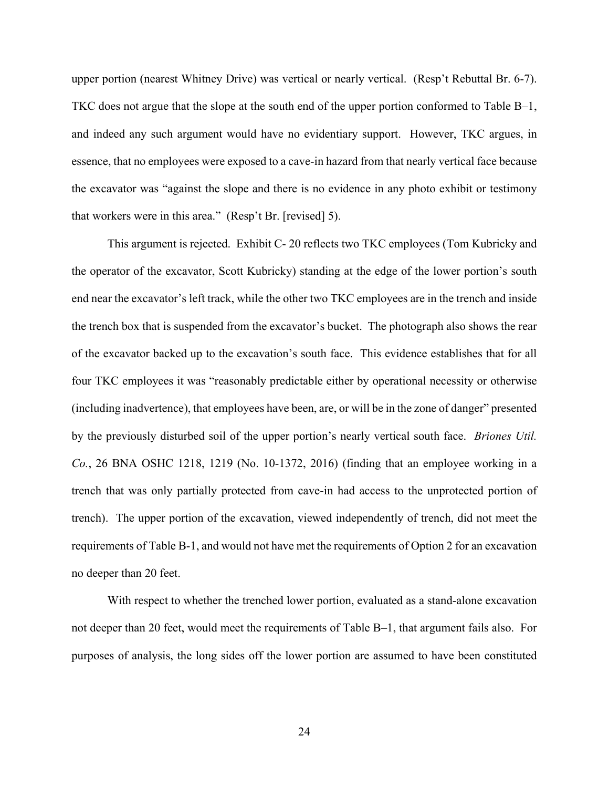upper portion (nearest Whitney Drive) was vertical or nearly vertical. (Resp't Rebuttal Br. 6-7). TKC does not argue that the slope at the south end of the upper portion conformed to Table B–1, and indeed any such argument would have no evidentiary support. However, TKC argues, in essence, that no employees were exposed to a cave-in hazard from that nearly vertical face because the excavator was "against the slope and there is no evidence in any photo exhibit or testimony that workers were in this area." (Resp't Br. [revised] 5).

This argument is rejected. Exhibit C- 20 reflects two TKC employees (Tom Kubricky and the operator of the excavator, Scott Kubricky) standing at the edge of the lower portion's south end near the excavator's left track, while the other two TKC employees are in the trench and inside the trench box that is suspended from the excavator's bucket. The photograph also shows the rear of the excavator backed up to the excavation's south face. This evidence establishes that for all four TKC employees it was "reasonably predictable either by operational necessity or otherwise (including inadvertence), that employees have been, are, or will be in the zone of danger" presented by the previously disturbed soil of the upper portion's nearly vertical south face. *Briones Util. Co.*, 26 BNA OSHC 1218, 1219 (No. 10-1372, 2016) (finding that an employee working in a trench that was only partially protected from cave-in had access to the unprotected portion of trench). The upper portion of the excavation, viewed independently of trench, did not meet the requirements of Table B-1, and would not have met the requirements of Option 2 for an excavation no deeper than 20 feet.

With respect to whether the trenched lower portion, evaluated as a stand-alone excavation not deeper than 20 feet, would meet the requirements of Table B–1, that argument fails also. For purposes of analysis, the long sides off the lower portion are assumed to have been constituted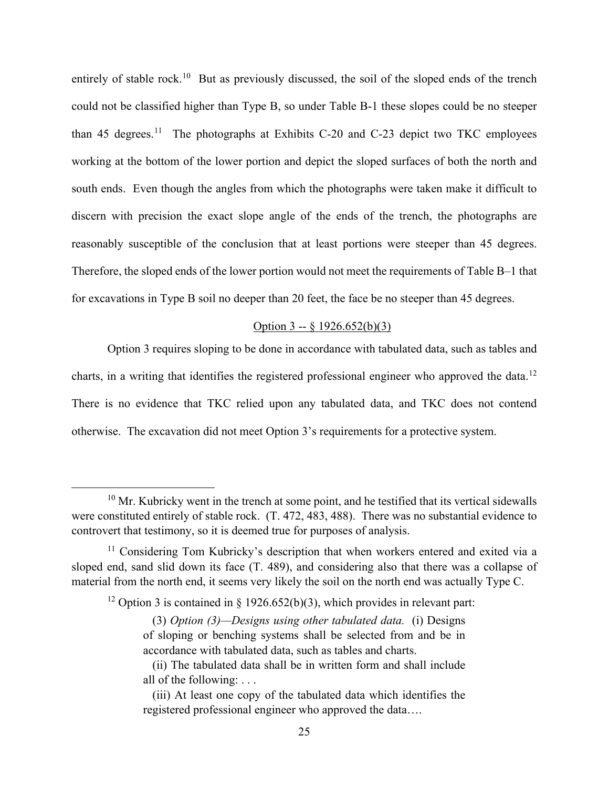entirely of stable rock.<sup>10</sup> But as previously discussed, the soil of the sloped ends of the trench could not be classified higher than Type B, so under Table B-1 these slopes could be no steeper than 45 degrees.<sup>[11](#page-24-1)</sup> The photographs at Exhibits C-20 and C-23 depict two TKC employees working at the bottom of the lower portion and depict the sloped surfaces of both the north and south ends. Even though the angles from which the photographs were taken make it difficult to discern with precision the exact slope angle of the ends of the trench, the photographs are reasonably susceptible of the conclusion that at least portions were steeper than 45 degrees. Therefore, the sloped ends of the lower portion would not meet the requirements of Table B–1 that for excavations in Type B soil no deeper than 20 feet, the face be no steeper than 45 degrees.

### Option 3 -- § 1926.652(b)(3)

Option 3 requires sloping to be done in accordance with tabulated data, such as tables and charts, in a writing that identifies the registered professional engineer who approved the data.<sup>[12](#page-24-2)</sup> There is no evidence that TKC relied upon any tabulated data, and TKC does not contend otherwise. The excavation did not meet Option 3's requirements for a protective system.

<span id="page-24-0"></span> $10$  Mr. Kubricky went in the trench at some point, and he testified that its vertical sidewalls were constituted entirely of stable rock. (T. 472, 483, 488). There was no substantial evidence to controvert that testimony, so it is deemed true for purposes of analysis.

<span id="page-24-2"></span><span id="page-24-1"></span><sup>&</sup>lt;sup>11</sup> Considering Tom Kubricky's description that when workers entered and exited via a sloped end, sand slid down its face (T. 489), and considering also that there was a collapse of material from the north end, it seems very likely the soil on the north end was actually Type C.

<sup>&</sup>lt;sup>12</sup> Option 3 is contained in § 1926.652(b)(3), which provides in relevant part:

<sup>(3)</sup> *Option (3)—Designs using other tabulated data.* (i) Designs of sloping or benching systems shall be selected from and be in accordance with tabulated data, such as tables and charts.

<sup>(</sup>ii) The tabulated data shall be in written form and shall include all of the following: . . .

<sup>(</sup>iii) At least one copy of the tabulated data which identifies the registered professional engineer who approved the data….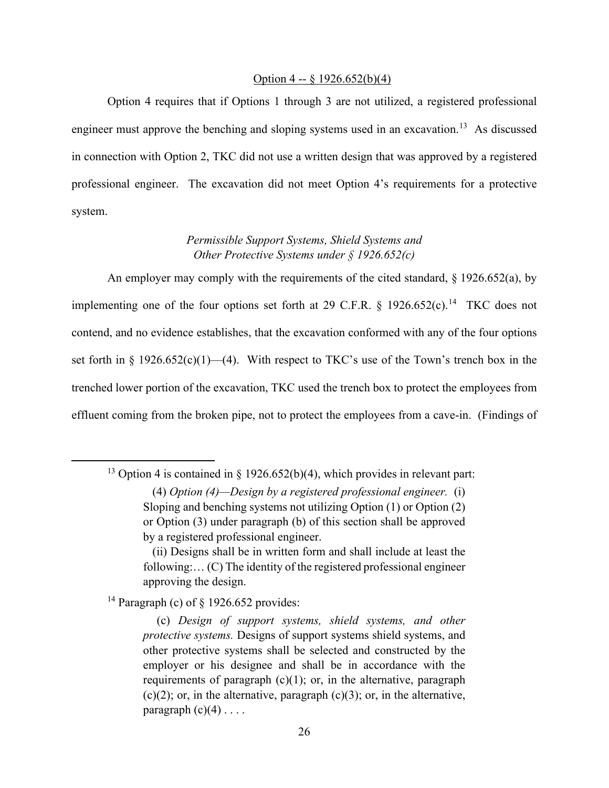#### Option 4 -- § 1926.652(b)(4)

Option 4 requires that if Options 1 through 3 are not utilized, a registered professional engineer must approve the benching and sloping systems used in an excavation.<sup>13</sup> As discussed in connection with Option 2, TKC did not use a written design that was approved by a registered professional engineer. The excavation did not meet Option 4's requirements for a protective system.

# *Permissible Support Systems, Shield Systems and Other Protective Systems under § 1926.652(c)*

An employer may comply with the requirements of the cited standard, § 1926.652(a), by implementing one of the four options set forth at 29 C.F.R. § 1926.652(c).[14](#page-25-1) TKC does not contend, and no evidence establishes, that the excavation conformed with any of the four options set forth in § 1926.652(c)(1)—(4). With respect to TKC's use of the Town's trench box in the trenched lower portion of the excavation, TKC used the trench box to protect the employees from effluent coming from the broken pipe, not to protect the employees from a cave-in. (Findings of

<span id="page-25-1"></span><sup>14</sup> Paragraph (c) of  $\S$  1926.652 provides:

<span id="page-25-0"></span><sup>&</sup>lt;sup>13</sup> Option 4 is contained in § 1926.652(b)(4), which provides in relevant part:

<sup>(4)</sup> *Option (4)—Design by a registered professional engineer.* (i) Sloping and benching systems not utilizing Option (1) or Option (2) or Option (3) under paragraph (b) of this section shall be approved by a registered professional engineer.

<sup>(</sup>ii) Designs shall be in written form and shall include at least the following:… (C) The identity of the registered professional engineer approving the design.

<sup>(</sup>c) *Design of support systems, shield systems, and other protective systems.* Designs of support systems shield systems, and other protective systems shall be selected and constructed by the employer or his designee and shall be in accordance with the requirements of paragraph  $(c)(1)$ ; or, in the alternative, paragraph  $(c)(2)$ ; or, in the alternative, paragraph  $(c)(3)$ ; or, in the alternative, paragraph  $(c)(4) \ldots$ .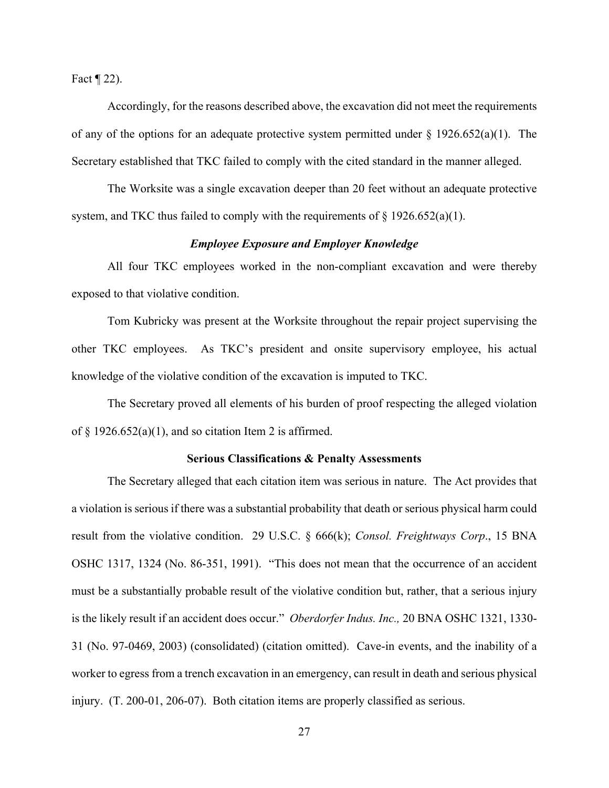Fact  $\P$  22).

Accordingly, for the reasons described above, the excavation did not meet the requirements of any of the options for an adequate protective system permitted under  $\S 1926.652(a)(1)$ . The Secretary established that TKC failed to comply with the cited standard in the manner alleged.

The Worksite was a single excavation deeper than 20 feet without an adequate protective system, and TKC thus failed to comply with the requirements of  $\S 1926.652(a)(1)$ .

## *Employee Exposure and Employer Knowledge*

All four TKC employees worked in the non-compliant excavation and were thereby exposed to that violative condition.

Tom Kubricky was present at the Worksite throughout the repair project supervising the other TKC employees. As TKC's president and onsite supervisory employee, his actual knowledge of the violative condition of the excavation is imputed to TKC.

The Secretary proved all elements of his burden of proof respecting the alleged violation of  $\S$  1926.652(a)(1), and so citation Item 2 is affirmed.

### **Serious Classifications & Penalty Assessments**

The Secretary alleged that each citation item was serious in nature. The Act provides that a violation is serious if there was a substantial probability that death or serious physical harm could result from the violative condition. 29 U.S.C. § 666(k); *Consol. Freightways Corp*., 15 BNA OSHC 1317, 1324 (No. 86-351, 1991). "This does not mean that the occurrence of an accident must be a substantially probable result of the violative condition but, rather, that a serious injury is the likely result if an accident does occur." *Oberdorfer Indus. Inc.,* 20 BNA OSHC 1321, 1330- 31 (No. 97-0469, 2003) (consolidated) (citation omitted). Cave-in events, and the inability of a worker to egress from a trench excavation in an emergency, can result in death and serious physical injury. (T. 200-01, 206-07). Both citation items are properly classified as serious.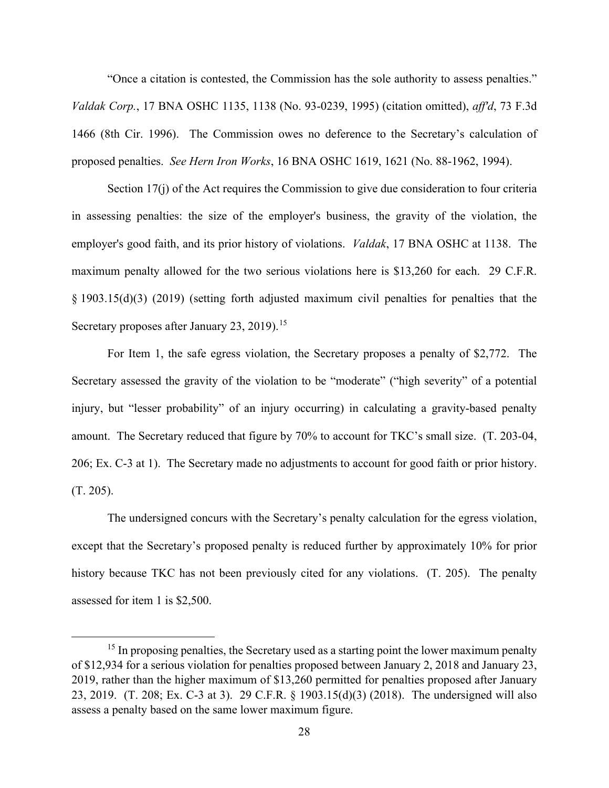"Once a citation is contested, the Commission has the sole authority to assess penalties." *Valdak Corp.*, 17 BNA OSHC 1135, 1138 (No. 93-0239, 1995) (citation omitted), *aff'd*, 73 F.3d 1466 (8th Cir. 1996). The Commission owes no deference to the Secretary's calculation of proposed penalties. *See Hern Iron Works*, 16 BNA OSHC 1619, 1621 (No. 88-1962, 1994).

Section 17(j) of the Act requires the Commission to give due consideration to four criteria in assessing penalties: the size of the employer's business, the gravity of the violation, the employer's good faith, and its prior history of violations. *Valdak*, 17 BNA OSHC at 1138. The maximum penalty allowed for the two serious violations here is \$13,260 for each. 29 C.F.R. § 1903.15(d)(3) (2019) (setting forth adjusted maximum civil penalties for penalties that the Secretary proposes after January 23, 2019).<sup>[15](#page-27-0)</sup>

For Item 1, the safe egress violation, the Secretary proposes a penalty of \$2,772. The Secretary assessed the gravity of the violation to be "moderate" ("high severity" of a potential injury, but "lesser probability" of an injury occurring) in calculating a gravity-based penalty amount. The Secretary reduced that figure by 70% to account for TKC's small size. (T. 203-04, 206; Ex. C-3 at 1). The Secretary made no adjustments to account for good faith or prior history. (T. 205).

The undersigned concurs with the Secretary's penalty calculation for the egress violation, except that the Secretary's proposed penalty is reduced further by approximately 10% for prior history because TKC has not been previously cited for any violations. (T. 205). The penalty assessed for item 1 is \$2,500.

<span id="page-27-0"></span><sup>&</sup>lt;sup>15</sup> In proposing penalties, the Secretary used as a starting point the lower maximum penalty of \$12,934 for a serious violation for penalties proposed between January 2, 2018 and January 23, 2019, rather than the higher maximum of \$13,260 permitted for penalties proposed after January 23, 2019. (T. 208; Ex. C-3 at 3). 29 C.F.R. § 1903.15(d)(3) (2018). The undersigned will also assess a penalty based on the same lower maximum figure.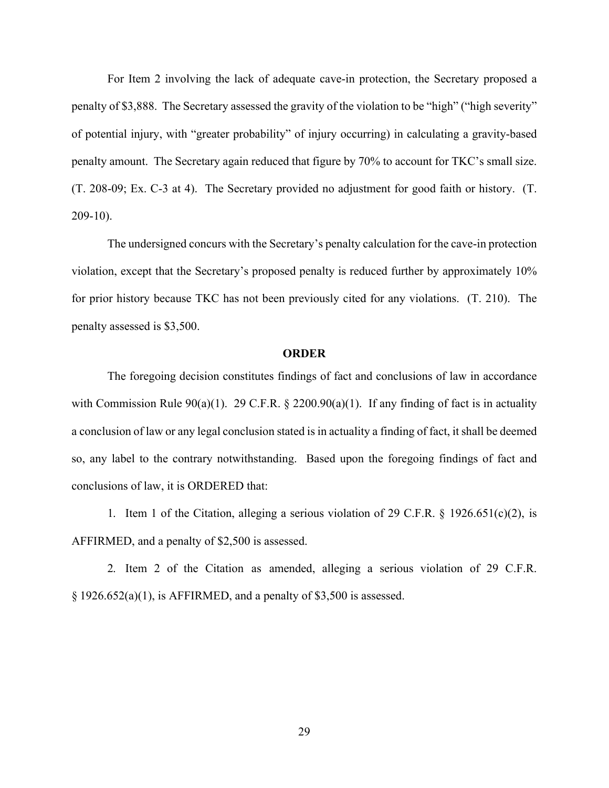For Item 2 involving the lack of adequate cave-in protection, the Secretary proposed a penalty of \$3,888. The Secretary assessed the gravity of the violation to be "high" ("high severity" of potential injury, with "greater probability" of injury occurring) in calculating a gravity-based penalty amount. The Secretary again reduced that figure by 70% to account for TKC's small size. (T. 208-09; Ex. C-3 at 4). The Secretary provided no adjustment for good faith or history. (T. 209-10).

The undersigned concurs with the Secretary's penalty calculation for the cave-in protection violation, except that the Secretary's proposed penalty is reduced further by approximately 10% for prior history because TKC has not been previously cited for any violations. (T. 210). The penalty assessed is \$3,500.

## **ORDER**

The foregoing decision constitutes findings of fact and conclusions of law in accordance with Commission Rule 90(a)(1). 29 C.F.R. § 2200.90(a)(1). If any finding of fact is in actuality a conclusion of law or any legal conclusion stated is in actuality a finding of fact, it shall be deemed so, any label to the contrary notwithstanding. Based upon the foregoing findings of fact and conclusions of law, it is ORDERED that:

1. Item 1 of the Citation, alleging a serious violation of 29 C.F.R. § 1926.651(c)(2), is AFFIRMED, and a penalty of \$2,500 is assessed.

2. Item 2 of the Citation as amended, alleging a serious violation of 29 C.F.R.  $\S 1926.652(a)(1)$ , is AFFIRMED, and a penalty of \$3,500 is assessed.

29